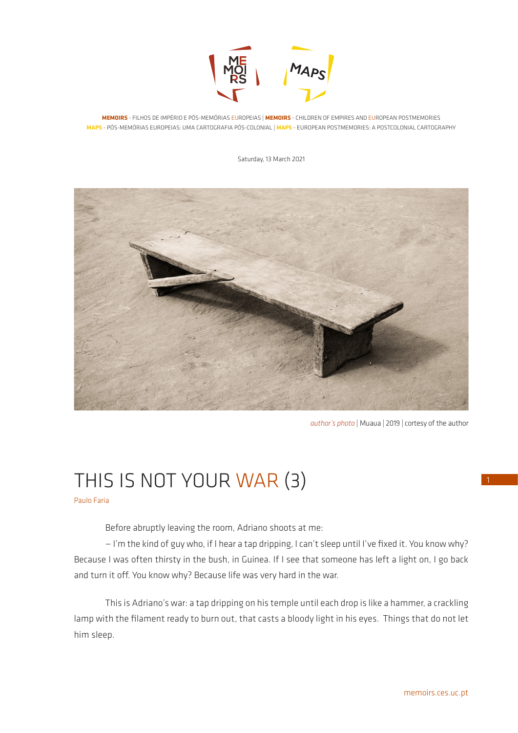

**MEMOIRS** - FILHOS DE IMPÉRIO E PÓS-MEMÓRIAS EUROPEIAS | **MEMOIRS** - CHILDREN OF EMPIRES AND EUROPEAN POSTMEMORIES **MAPS** - PÓS-MEMÓRIAS EUROPEIAS: UMA CARTOGRAFIA PÓS-COLONIAL | **MAPS** - EUROPEAN POSTMEMORIES: A POSTCOLONIAL CARTOGRAPHY

Saturday, 13 March 2021



*author's photo* | Muaua | 2019 | cortesy of the author

# THIS IS NOT YOUR WAR (3)

Paulo Faria

Before abruptly leaving the room, Adriano shoots at me:

— I'm the kind of guy who, if I hear a tap dripping, I can't sleep until I've fixed it. You know why? Because I was often thirsty in the bush, in Guinea. If I see that someone has left a light on, I go back and turn it off. You know why? Because life was very hard in the war.

This is Adriano's war: a tap dripping on his temple until each drop is like a hammer, a crackling lamp with the filament ready to burn out, that casts a bloody light in his eyes. Things that do not let him sleep.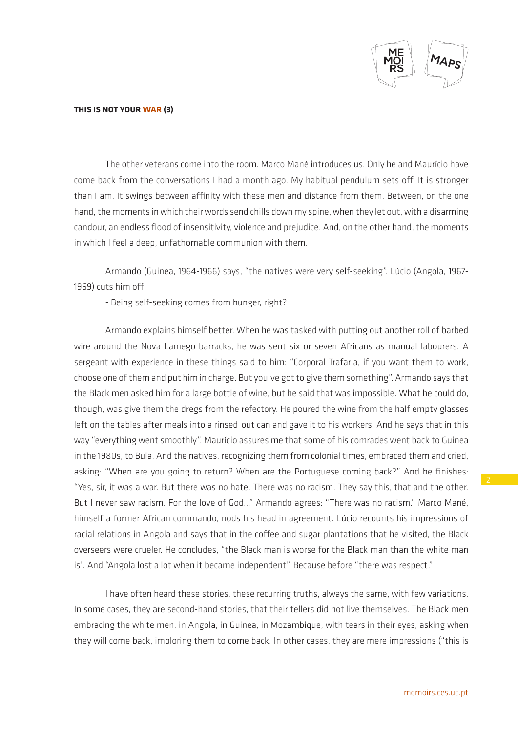

The other veterans come into the room. Marco Mané introduces us. Only he and Maurício have come back from the conversations I had a month ago. My habitual pendulum sets off. It is stronger than I am. It swings between affinity with these men and distance from them. Between, on the one hand, the moments in which their words send chills down my spine, when they let out, with a disarming candour, an endless flood of insensitivity, violence and prejudice. And, on the other hand, the moments in which I feel a deep, unfathomable communion with them.

Armando (Guinea, 1964-1966) says, "the natives were very self-seeking". Lúcio (Angola, 1967- 1969) cuts him off:

- Being self-seeking comes from hunger, right?

Armando explains himself better. When he was tasked with putting out another roll of barbed wire around the Nova Lamego barracks, he was sent six or seven Africans as manual labourers. A sergeant with experience in these things said to him: "Corporal Trafaria, if you want them to work, choose one of them and put him in charge. But you've got to give them something". Armando says that the Black men asked him for a large bottle of wine, but he said that was impossible. What he could do, though, was give them the dregs from the refectory. He poured the wine from the half empty glasses left on the tables after meals into a rinsed-out can and gave it to his workers. And he says that in this way "everything went smoothly". Maurício assures me that some of his comrades went back to Guinea in the 1980s, to Bula. And the natives, recognizing them from colonial times, embraced them and cried, asking: "When are you going to return? When are the Portuguese coming back?" And he finishes: "Yes, sir, it was a war. But there was no hate. There was no racism. They say this, that and the other. But I never saw racism. For the love of God…" Armando agrees: "There was no racism." Marco Mané, himself a former African commando, nods his head in agreement. Lúcio recounts his impressions of racial relations in Angola and says that in the coffee and sugar plantations that he visited, the Black overseers were crueler. He concludes, "the Black man is worse for the Black man than the white man is". And "Angola lost a lot when it became independent". Because before "there was respect."

I have often heard these stories, these recurring truths, always the same, with few variations. In some cases, they are second-hand stories, that their tellers did not live themselves. The Black men embracing the white men, in Angola, in Guinea, in Mozambique, with tears in their eyes, asking when they will come back, imploring them to come back. In other cases, they are mere impressions ("this is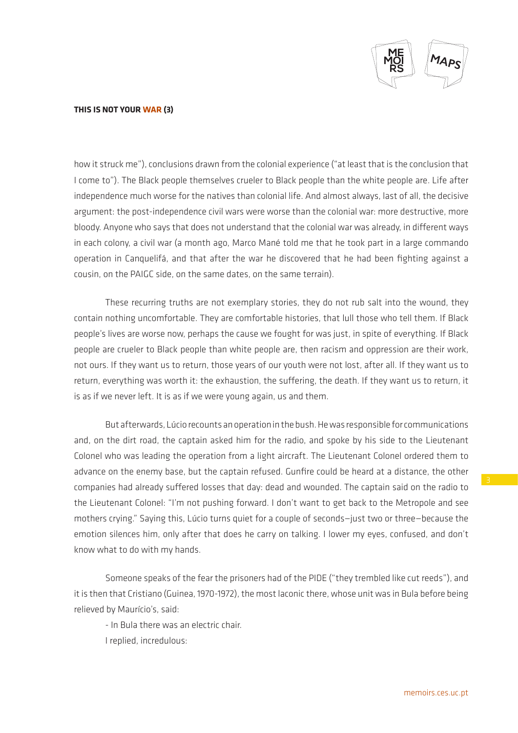

how it struck me"), conclusions drawn from the colonial experience ("at least that is the conclusion that I come to"). The Black people themselves crueler to Black people than the white people are. Life after independence much worse for the natives than colonial life. And almost always, last of all, the decisive argument: the post-independence civil wars were worse than the colonial war: more destructive, more bloody. Anyone who says that does not understand that the colonial war was already, in different ways in each colony, a civil war (a month ago, Marco Mané told me that he took part in a large commando operation in Canquelifá, and that after the war he discovered that he had been fighting against a cousin, on the PAIGC side, on the same dates, on the same terrain).

These recurring truths are not exemplary stories, they do not rub salt into the wound, they contain nothing uncomfortable. They are comfortable histories, that lull those who tell them. If Black people's lives are worse now, perhaps the cause we fought for was just, in spite of everything. If Black people are crueler to Black people than white people are, then racism and oppression are their work, not ours. If they want us to return, those years of our youth were not lost, after all. If they want us to return, everything was worth it: the exhaustion, the suffering, the death. If they want us to return, it is as if we never left. It is as if we were young again, us and them.

But afterwards, Lúcio recounts an operation in the bush. He was responsible for communications and, on the dirt road, the captain asked him for the radio, and spoke by his side to the Lieutenant Colonel who was leading the operation from a light aircraft. The Lieutenant Colonel ordered them to advance on the enemy base, but the captain refused. Gunfire could be heard at a distance, the other companies had already suffered losses that day: dead and wounded. The captain said on the radio to the Lieutenant Colonel: "I'm not pushing forward. I don't want to get back to the Metropole and see mothers crying." Saying this, Lúcio turns quiet for a couple of seconds—just two or three—because the emotion silences him, only after that does he carry on talking. I lower my eyes, confused, and don't know what to do with my hands.

Someone speaks of the fear the prisoners had of the PIDE ("they trembled like cut reeds"), and it is then that Cristiano (Guinea, 1970-1972), the most laconic there, whose unit was in Bula before being relieved by Maurício's, said:

- In Bula there was an electric chair.

I replied, incredulous: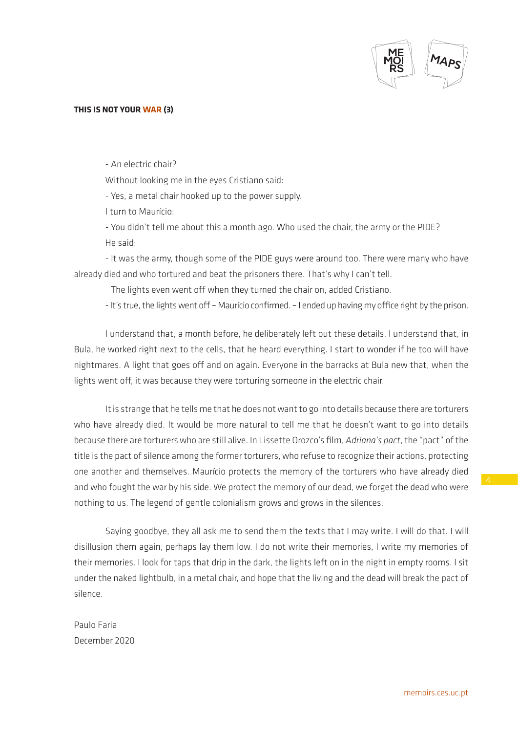

- An electric chair?

Without looking me in the eyes Cristiano said:

- Yes, a metal chair hooked up to the power supply.

I turn to Maurício:

- You didn't tell me about this a month ago. Who used the chair, the army or the PIDE? He said:

- It was the army, though some of the PIDE guys were around too. There were many who have already died and who tortured and beat the prisoners there. That's why I can't tell.

- The lights even went off when they turned the chair on, added Cristiano.

- It's true, the lights went off – Maurício confirmed. – I ended up having my office right by the prison.

I understand that, a month before, he deliberately left out these details. I understand that, in Bula, he worked right next to the cells, that he heard everything. I start to wonder if he too will have nightmares. A light that goes off and on again. Everyone in the barracks at Bula new that, when the lights went off, it was because they were torturing someone in the electric chair.

It is strange that he tells me that he does not want to go into details because there are torturers who have already died. It would be more natural to tell me that he doesn't want to go into details because there are torturers who are still alive. In Lissette Orozco's film, *Adriana's pact*, the "pact" of the title is the pact of silence among the former torturers, who refuse to recognize their actions, protecting one another and themselves. Maurício protects the memory of the torturers who have already died and who fought the war by his side. We protect the memory of our dead, we forget the dead who were nothing to us. The legend of gentle colonialism grows and grows in the silences.

Saying goodbye, they all ask me to send them the texts that I may write. I will do that. I will disillusion them again, perhaps lay them low. I do not write their memories, I write my memories of their memories. I look for taps that drip in the dark, the lights left on in the night in empty rooms. I sit under the naked lightbulb, in a metal chair, and hope that the living and the dead will break the pact of silence.

Paulo Faria December 2020